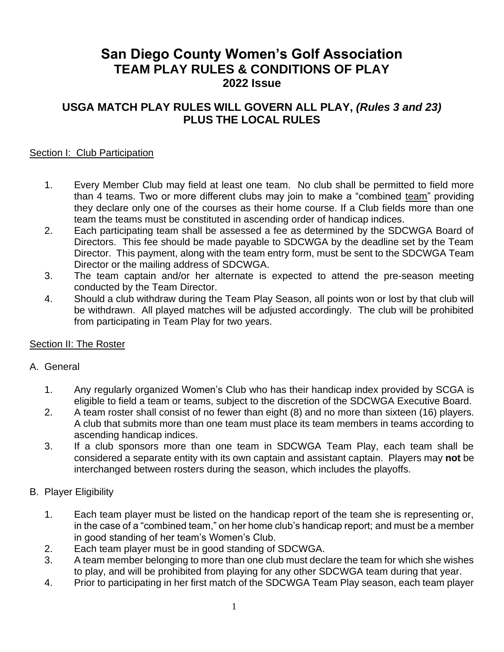# **San Diego County Women's Golf Association TEAM PLAY RULES & CONDITIONS OF PLAY 2022 Issue**

# **USGA MATCH PLAY RULES WILL GOVERN ALL PLAY,** *(Rules 3 and 23)* **PLUS THE LOCAL RULES**

# Section I: Club Participation

- 1. Every Member Club may field at least one team. No club shall be permitted to field more than 4 teams. Two or more different clubs may join to make a "combined team" providing they declare only one of the courses as their home course. If a Club fields more than one team the teams must be constituted in ascending order of handicap indices.
- 2. Each participating team shall be assessed a fee as determined by the SDCWGA Board of Directors. This fee should be made payable to SDCWGA by the deadline set by the Team Director. This payment, along with the team entry form, must be sent to the SDCWGA Team Director or the mailing address of SDCWGA.
- 3. The team captain and/or her alternate is expected to attend the pre-season meeting conducted by the Team Director.
- 4. Should a club withdraw during the Team Play Season, all points won or lost by that club will be withdrawn. All played matches will be adjusted accordingly. The club will be prohibited from participating in Team Play for two years.

## Section II: The Roster

## A. General

- 1. Any regularly organized Women's Club who has their handicap index provided by SCGA is eligible to field a team or teams, subject to the discretion of the SDCWGA Executive Board.
- 2. A team roster shall consist of no fewer than eight (8) and no more than sixteen (16) players. A club that submits more than one team must place its team members in teams according to ascending handicap indices.
- 3. If a club sponsors more than one team in SDCWGA Team Play, each team shall be considered a separate entity with its own captain and assistant captain. Players may **not** be interchanged between rosters during the season, which includes the playoffs.
- B. Player Eligibility
	- 1. Each team player must be listed on the handicap report of the team she is representing or, in the case of a "combined team," on her home club's handicap report; and must be a member in good standing of her team's Women's Club.
	- 2. Each team player must be in good standing of SDCWGA.
	- 3. A team member belonging to more than one club must declare the team for which she wishes to play, and will be prohibited from playing for any other SDCWGA team during that year.
	- 4. Prior to participating in her first match of the SDCWGA Team Play season, each team player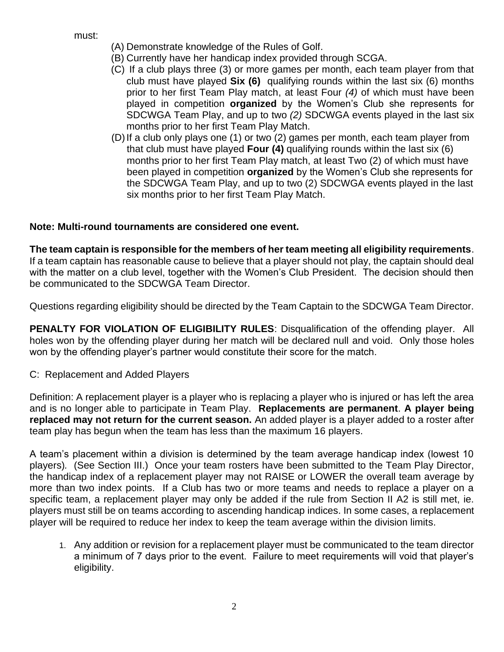must:

- (A) Demonstrate knowledge of the Rules of Golf.
- (B) Currently have her handicap index provided through SCGA.
- (C) If a club plays three (3) or more games per month, each team player from that club must have played **Six (6)** qualifying rounds within the last six (6) months prior to her first Team Play match, at least Four *(4)* of which must have been played in competition **organized** by the Women's Club she represents for SDCWGA Team Play, and up to two *(2)* SDCWGA events played in the last six months prior to her first Team Play Match.
- (D)If a club only plays one (1) or two (2) games per month, each team player from that club must have played **Four (4)** qualifying rounds within the last six (6) months prior to her first Team Play match, at least Two (2) of which must have been played in competition **organized** by the Women's Club she represents for the SDCWGA Team Play, and up to two (2) SDCWGA events played in the last six months prior to her first Team Play Match.

# **Note: Multi-round tournaments are considered one event.**

**The team captain is responsible for the members of her team meeting all eligibility requirements**. If a team captain has reasonable cause to believe that a player should not play, the captain should deal with the matter on a club level, together with the Women's Club President. The decision should then be communicated to the SDCWGA Team Director.

Questions regarding eligibility should be directed by the Team Captain to the SDCWGA Team Director.

**PENALTY FOR VIOLATION OF ELIGIBILITY RULES:** Disqualification of the offending player. All holes won by the offending player during her match will be declared null and void. Only those holes won by the offending player's partner would constitute their score for the match.

## C: Replacement and Added Players

Definition: A replacement player is a player who is replacing a player who is injured or has left the area and is no longer able to participate in Team Play. **Replacements are permanent**. **A player being replaced may not return for the current season.** An added player is a player added to a roster after team play has begun when the team has less than the maximum 16 players.

A team's placement within a division is determined by the team average handicap index (lowest 10 players)*.* (See Section III.) Once your team rosters have been submitted to the Team Play Director, the handicap index of a replacement player may not RAISE or LOWER the overall team average by more than two index points. If a Club has two or more teams and needs to replace a player on a specific team, a replacement player may only be added if the rule from Section II A2 is still met, ie. players must still be on teams according to ascending handicap indices. In some cases, a replacement player will be required to reduce her index to keep the team average within the division limits.

1. Any addition or revision for a replacement player must be communicated to the team director a minimum of 7 days prior to the event. Failure to meet requirements will void that player's eligibility.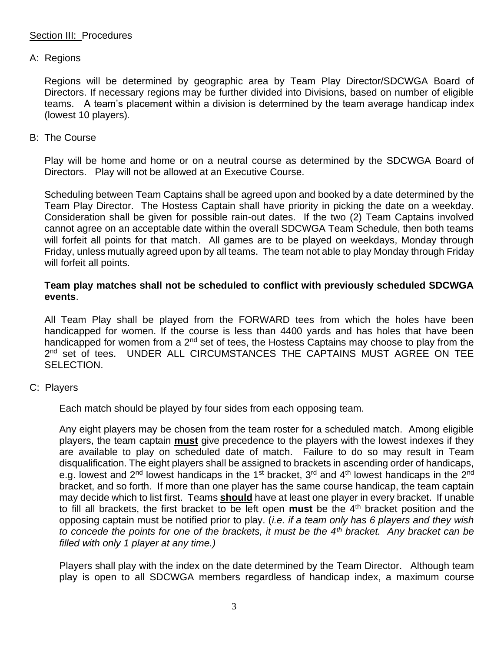### Section III: Procedures

#### A: Regions

Regions will be determined by geographic area by Team Play Director/SDCWGA Board of Directors. If necessary regions may be further divided into Divisions, based on number of eligible teams. A team's placement within a division is determined by the team average handicap index (lowest 10 players)*.*

#### B: The Course

Play will be home and home or on a neutral course as determined by the SDCWGA Board of Directors. Play will not be allowed at an Executive Course.

Scheduling between Team Captains shall be agreed upon and booked by a date determined by the Team Play Director. The Hostess Captain shall have priority in picking the date on a weekday. Consideration shall be given for possible rain-out dates. If the two (2) Team Captains involved cannot agree on an acceptable date within the overall SDCWGA Team Schedule, then both teams will forfeit all points for that match. All games are to be played on weekdays, Monday through Friday, unless mutually agreed upon by all teams. The team not able to play Monday through Friday will forfeit all points.

#### **Team play matches shall not be scheduled to conflict with previously scheduled SDCWGA events**.

All Team Play shall be played from the FORWARD tees from which the holes have been handicapped for women. If the course is less than 4400 yards and has holes that have been handicapped for women from a  $2<sup>nd</sup>$  set of tees, the Hostess Captains may choose to play from the 2<sup>nd</sup> set of tees. UNDER ALL CIRCUMSTANCES THE CAPTAINS MUST AGREE ON TEE SELECTION.

## C: Players

Each match should be played by four sides from each opposing team.

Any eight players may be chosen from the team roster for a scheduled match. Among eligible players, the team captain **must** give precedence to the players with the lowest indexes if they are available to play on scheduled date of match. Failure to do so may result in Team disqualification. The eight players shall be assigned to brackets in ascending order of handicaps, e.g. lowest and 2<sup>nd</sup> lowest handicaps in the 1<sup>st</sup> bracket, 3<sup>rd</sup> and 4<sup>th</sup> lowest handicaps in the 2<sup>nd</sup> bracket, and so forth. If more than one player has the same course handicap, the team captain may decide which to list first. Teams **should** have at least one player in every bracket. If unable to fill all brackets, the first bracket to be left open **must** be the 4th bracket position and the opposing captain must be notified prior to play. (*i.e. if a team only has 6 players and they wish to concede the points for one of the brackets, it must be the 4th bracket. Any bracket can be filled with only 1 player at any time.)*

Players shall play with the index on the date determined by the Team Director. Although team play is open to all SDCWGA members regardless of handicap index, a maximum course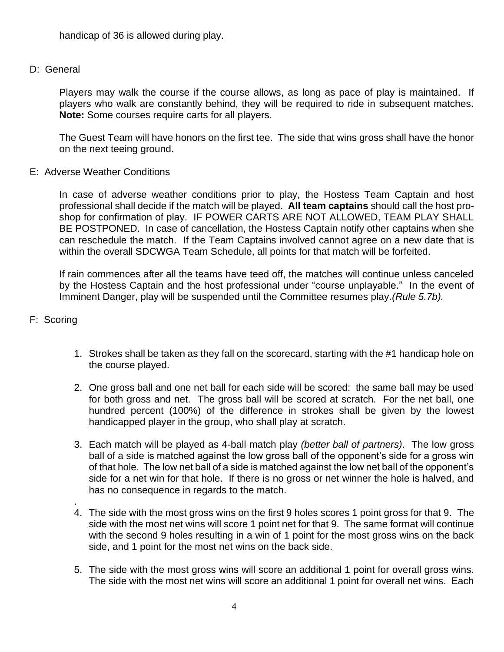handicap of 36 is allowed during play.

## D: General

Players may walk the course if the course allows, as long as pace of play is maintained. If players who walk are constantly behind, they will be required to ride in subsequent matches. **Note:** Some courses require carts for all players.

The Guest Team will have honors on the first tee. The side that wins gross shall have the honor on the next teeing ground.

E: Adverse Weather Conditions

In case of adverse weather conditions prior to play, the Hostess Team Captain and host professional shall decide if the match will be played. **All team captains** should call the host proshop for confirmation of play. IF POWER CARTS ARE NOT ALLOWED, TEAM PLAY SHALL BE POSTPONED. In case of cancellation, the Hostess Captain notify other captains when she can reschedule the match. If the Team Captains involved cannot agree on a new date that is within the overall SDCWGA Team Schedule, all points for that match will be forfeited.

If rain commences after all the teams have teed off, the matches will continue unless canceled by the Hostess Captain and the host professional under "course unplayable." In the event of Imminent Danger, play will be suspended until the Committee resumes play.*(Rule 5.7b).*

# F: Scoring

- 1. Strokes shall be taken as they fall on the scorecard, starting with the #1 handicap hole on the course played.
- 2. One gross ball and one net ball for each side will be scored: the same ball may be used for both gross and net. The gross ball will be scored at scratch. For the net ball, one hundred percent (100%) of the difference in strokes shall be given by the lowest handicapped player in the group, who shall play at scratch.
- 3. Each match will be played as 4-ball match play *(better ball of partners)*. The low gross ball of a side is matched against the low gross ball of the opponent's side for a gross win of that hole. The low net ball of a side is matched against the low net ball of the opponent's side for a net win for that hole. If there is no gross or net winner the hole is halved, and has no consequence in regards to the match.
- . 4. The side with the most gross wins on the first 9 holes scores 1 point gross for that 9. The side with the most net wins will score 1 point net for that 9. The same format will continue with the second 9 holes resulting in a win of 1 point for the most gross wins on the back side, and 1 point for the most net wins on the back side.
- 5. The side with the most gross wins will score an additional 1 point for overall gross wins. The side with the most net wins will score an additional 1 point for overall net wins. Each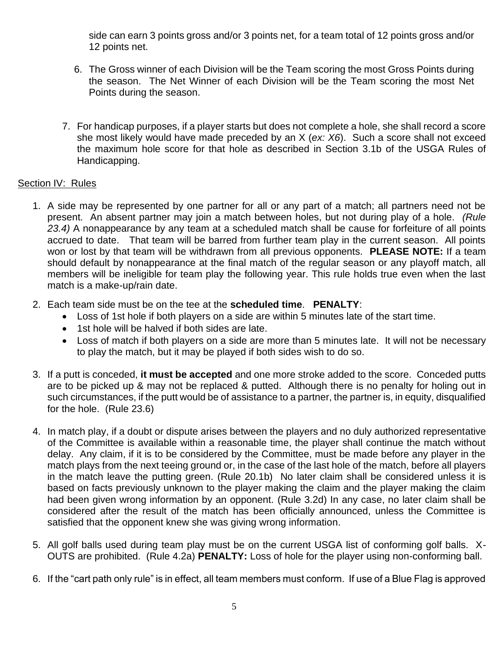side can earn 3 points gross and/or 3 points net, for a team total of 12 points gross and/or 12 points net.

- 6. The Gross winner of each Division will be the Team scoring the most Gross Points during the season. The Net Winner of each Division will be the Team scoring the most Net Points during the season.
- 7. For handicap purposes, if a player starts but does not complete a hole, she shall record a score she most likely would have made preceded by an X (*ex: X6*). Such a score shall not exceed the maximum hole score for that hole as described in Section 3.1b of the USGA Rules of Handicapping.

# Section IV: Rules

- 1. A side may be represented by one partner for all or any part of a match; all partners need not be present. An absent partner may join a match between holes, but not during play of a hole. *(Rule 23.4)* A nonappearance by any team at a scheduled match shall be cause for forfeiture of all points accrued to date. That team will be barred from further team play in the current season. All points won or lost by that team will be withdrawn from all previous opponents. **PLEASE NOTE:** If a team should default by nonappearance at the final match of the regular season or any playoff match, all members will be ineligible for team play the following year. This rule holds true even when the last match is a make-up/rain date.
- 2. Each team side must be on the tee at the **scheduled time**. **PENALTY**:
	- Loss of 1st hole if both players on a side are within 5 minutes late of the start time.
	- 1st hole will be halved if both sides are late.
	- Loss of match if both players on a side are more than 5 minutes late. It will not be necessary to play the match, but it may be played if both sides wish to do so.
- 3. If a putt is conceded, **it must be accepted** and one more stroke added to the score. Conceded putts are to be picked up & may not be replaced & putted. Although there is no penalty for holing out in such circumstances, if the putt would be of assistance to a partner, the partner is, in equity, disqualified for the hole. (Rule 23.6)
- 4. In match play, if a doubt or dispute arises between the players and no duly authorized representative of the Committee is available within a reasonable time, the player shall continue the match without delay. Any claim, if it is to be considered by the Committee, must be made before any player in the match plays from the next teeing ground or, in the case of the last hole of the match, before all players in the match leave the putting green. (Rule 20.1b) No later claim shall be considered unless it is based on facts previously unknown to the player making the claim and the player making the claim had been given wrong information by an opponent. (Rule 3.2d) In any case, no later claim shall be considered after the result of the match has been officially announced, unless the Committee is satisfied that the opponent knew she was giving wrong information.
- 5. All golf balls used during team play must be on the current USGA list of conforming golf balls. X-OUTS are prohibited. (Rule 4.2a) **PENALTY:** Loss of hole for the player using non-conforming ball.
- 6. If the "cart path only rule" is in effect, all team members must conform. If use of a Blue Flag is approved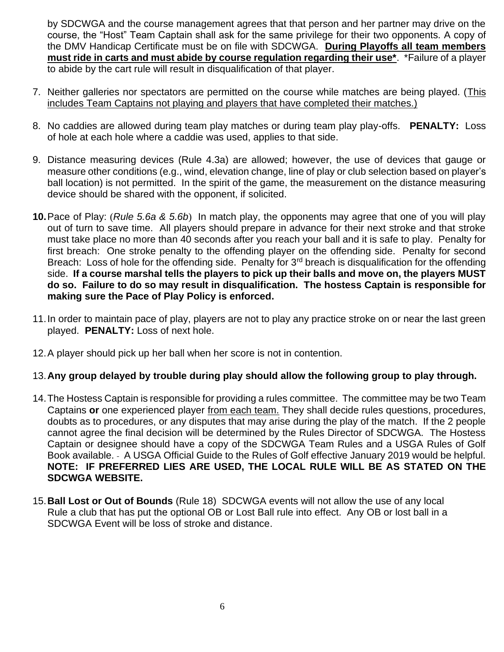by SDCWGA and the course management agrees that that person and her partner may drive on the course, the "Host" Team Captain shall ask for the same privilege for their two opponents. A copy of the DMV Handicap Certificate must be on file with SDCWGA. **During Playoffs all team members must ride in carts and must abide by course regulation regarding their use\***. \*Failure of a player to abide by the cart rule will result in disqualification of that player.

- 7. Neither galleries nor spectators are permitted on the course while matches are being played. (This includes Team Captains not playing and players that have completed their matches.)
- 8. No caddies are allowed during team play matches or during team play play-offs. **PENALTY:** Loss of hole at each hole where a caddie was used, applies to that side.
- 9. Distance measuring devices (Rule 4.3a) are allowed; however, the use of devices that gauge or measure other conditions (e.g., wind, elevation change, line of play or club selection based on player's ball location) is not permitted. In the spirit of the game, the measurement on the distance measuring device should be shared with the opponent, if solicited.
- **10.**Pace of Play: (*Rule 5.6a & 5.6b*) In match play, the opponents may agree that one of you will play out of turn to save time. All players should prepare in advance for their next stroke and that stroke must take place no more than 40 seconds after you reach your ball and it is safe to play. Penalty for first breach: One stroke penalty to the offending player on the offending side. Penalty for second Breach: Loss of hole for the offending side. Penalty for  $3<sup>rd</sup>$  breach is disqualification for the offending side. **If a course marshal tells the players to pick up their balls and move on, the players MUST do so. Failure to do so may result in disqualification. The hostess Captain is responsible for making sure the Pace of Play Policy is enforced.**
- 11.In order to maintain pace of play, players are not to play any practice stroke on or near the last green played. **PENALTY:** Loss of next hole.
- 12.A player should pick up her ball when her score is not in contention.

## 13.**Any group delayed by trouble during play should allow the following group to play through.**

- 14.The Hostess Captain is responsible for providing a rules committee. The committee may be two Team Captains **or** one experienced player from each team. They shall decide rules questions, procedures, doubts as to procedures, or any disputes that may arise during the play of the match. If the 2 people cannot agree the final decision will be determined by the Rules Director of SDCWGA. The Hostess Captain or designee should have a copy of the SDCWGA Team Rules and a USGA Rules of Golf Book available. A USGA Official Guide to the Rules of Golf effective January 2019 would be helpful. **NOTE: IF PREFERRED LIES ARE USED, THE LOCAL RULE WILL BE AS STATED ON THE SDCWGA WEBSITE.**
- 15.**Ball Lost or Out of Bounds** (Rule 18) SDCWGA events will not allow the use of any local Rule a club that has put the optional OB or Lost Ball rule into effect. Any OB or lost ball in a SDCWGA Event will be loss of stroke and distance.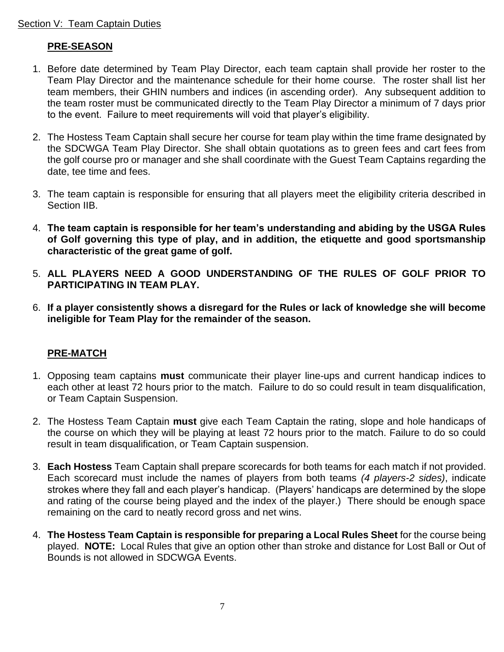# **PRE-SEASON**

- 1. Before date determined by Team Play Director, each team captain shall provide her roster to the Team Play Director and the maintenance schedule for their home course. The roster shall list her team members, their GHIN numbers and indices (in ascending order). Any subsequent addition to the team roster must be communicated directly to the Team Play Director a minimum of 7 days prior to the event. Failure to meet requirements will void that player's eligibility.
- 2. The Hostess Team Captain shall secure her course for team play within the time frame designated by the SDCWGA Team Play Director. She shall obtain quotations as to green fees and cart fees from the golf course pro or manager and she shall coordinate with the Guest Team Captains regarding the date, tee time and fees.
- 3. The team captain is responsible for ensuring that all players meet the eligibility criteria described in Section IIB.
- 4. **The team captain is responsible for her team's understanding and abiding by the USGA Rules of Golf governing this type of play, and in addition, the etiquette and good sportsmanship characteristic of the great game of golf.**
- 5. **ALL PLAYERS NEED A GOOD UNDERSTANDING OF THE RULES OF GOLF PRIOR TO PARTICIPATING IN TEAM PLAY.**
- 6. **If a player consistently shows a disregard for the Rules or lack of knowledge she will become ineligible for Team Play for the remainder of the season.**

## **PRE-MATCH**

- 1. Opposing team captains **must** communicate their player line-ups and current handicap indices to each other at least 72 hours prior to the match. Failure to do so could result in team disqualification, or Team Captain Suspension.
- 2. The Hostess Team Captain **must** give each Team Captain the rating, slope and hole handicaps of the course on which they will be playing at least 72 hours prior to the match. Failure to do so could result in team disqualification, or Team Captain suspension.
- 3. **Each Hostess** Team Captain shall prepare scorecards for both teams for each match if not provided. Each scorecard must include the names of players from both teams *(4 players-2 sides)*, indicate strokes where they fall and each player's handicap. (Players' handicaps are determined by the slope and rating of the course being played and the index of the player.) There should be enough space remaining on the card to neatly record gross and net wins.
- 4. **The Hostess Team Captain is responsible for preparing a Local Rules Sheet** for the course being played. **NOTE:** Local Rules that give an option other than stroke and distance for Lost Ball or Out of Bounds is not allowed in SDCWGA Events.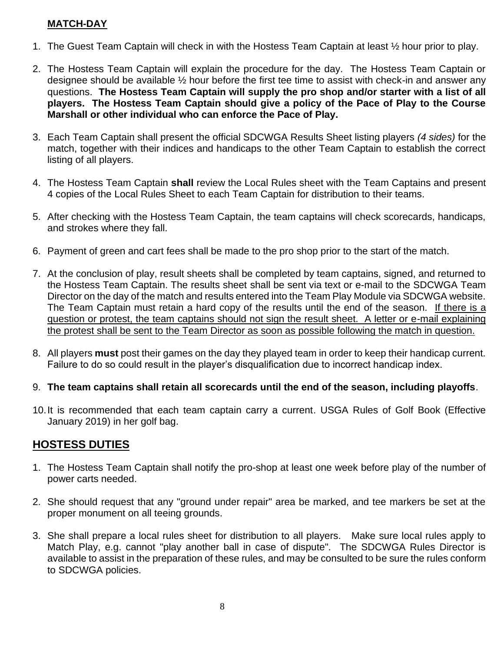# **MATCH-DAY**

- 1. The Guest Team Captain will check in with the Hostess Team Captain at least ½ hour prior to play.
- 2. The Hostess Team Captain will explain the procedure for the day. The Hostess Team Captain or designee should be available ½ hour before the first tee time to assist with check-in and answer any questions. **The Hostess Team Captain will supply the pro shop and/or starter with a list of all players. The Hostess Team Captain should give a policy of the Pace of Play to the Course Marshall or other individual who can enforce the Pace of Play.**
- 3. Each Team Captain shall present the official SDCWGA Results Sheet listing players *(4 sides)* for the match, together with their indices and handicaps to the other Team Captain to establish the correct listing of all players.
- 4. The Hostess Team Captain **shall** review the Local Rules sheet with the Team Captains and present 4 copies of the Local Rules Sheet to each Team Captain for distribution to their teams.
- 5. After checking with the Hostess Team Captain, the team captains will check scorecards, handicaps, and strokes where they fall.
- 6. Payment of green and cart fees shall be made to the pro shop prior to the start of the match.
- 7. At the conclusion of play, result sheets shall be completed by team captains, signed, and returned to the Hostess Team Captain. The results sheet shall be sent via text or e-mail to the SDCWGA Team Director on the day of the match and results entered into the Team Play Module via SDCWGA website. The Team Captain must retain a hard copy of the results until the end of the season. If there is a question or protest, the team captains should not sign the result sheet. A letter or e-mail explaining the protest shall be sent to the Team Director as soon as possible following the match in question.
- 8. All players **must** post their games on the day they played team in order to keep their handicap current. Failure to do so could result in the player's disqualification due to incorrect handicap index.
- 9. **The team captains shall retain all scorecards until the end of the season, including playoffs**.
- 10.It is recommended that each team captain carry a current. USGA Rules of Golf Book (Effective January 2019) in her golf bag.

# **HOSTESS DUTIES**

- 1. The Hostess Team Captain shall notify the pro-shop at least one week before play of the number of power carts needed.
- 2. She should request that any "ground under repair" area be marked, and tee markers be set at the proper monument on all teeing grounds.
- 3. She shall prepare a local rules sheet for distribution to all players. Make sure local rules apply to Match Play, e.g. cannot "play another ball in case of dispute". The SDCWGA Rules Director is available to assist in the preparation of these rules, and may be consulted to be sure the rules conform to SDCWGA policies.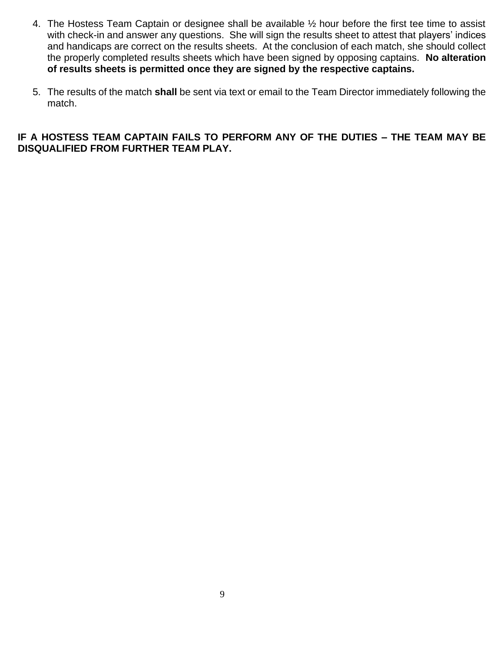- 4. The Hostess Team Captain or designee shall be available ½ hour before the first tee time to assist with check-in and answer any questions. She will sign the results sheet to attest that players' indices and handicaps are correct on the results sheets. At the conclusion of each match, she should collect the properly completed results sheets which have been signed by opposing captains. **No alteration of results sheets is permitted once they are signed by the respective captains.**
- 5. The results of the match **shall** be sent via text or email to the Team Director immediately following the match.

## **IF A HOSTESS TEAM CAPTAIN FAILS TO PERFORM ANY OF THE DUTIES – THE TEAM MAY BE DISQUALIFIED FROM FURTHER TEAM PLAY.**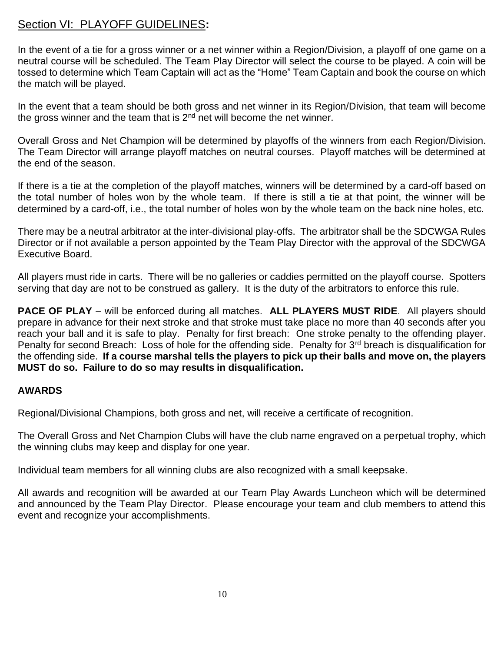# Section VI: PLAYOFF GUIDELINES**:**

In the event of a tie for a gross winner or a net winner within a Region/Division, a playoff of one game on a neutral course will be scheduled. The Team Play Director will select the course to be played. A coin will be tossed to determine which Team Captain will act as the "Home" Team Captain and book the course on which the match will be played.

In the event that a team should be both gross and net winner in its Region/Division, that team will become the gross winner and the team that is  $2<sup>nd</sup>$  net will become the net winner.

Overall Gross and Net Champion will be determined by playoffs of the winners from each Region/Division. The Team Director will arrange playoff matches on neutral courses. Playoff matches will be determined at the end of the season.

If there is a tie at the completion of the playoff matches, winners will be determined by a card-off based on the total number of holes won by the whole team. If there is still a tie at that point, the winner will be determined by a card-off, i.e., the total number of holes won by the whole team on the back nine holes, etc.

There may be a neutral arbitrator at the inter-divisional play-offs. The arbitrator shall be the SDCWGA Rules Director or if not available a person appointed by the Team Play Director with the approval of the SDCWGA Executive Board.

All players must ride in carts. There will be no galleries or caddies permitted on the playoff course. Spotters serving that day are not to be construed as gallery. It is the duty of the arbitrators to enforce this rule.

**PACE OF PLAY** – will be enforced during all matches. **ALL PLAYERS MUST RIDE**. All players should prepare in advance for their next stroke and that stroke must take place no more than 40 seconds after you reach your ball and it is safe to play. Penalty for first breach: One stroke penalty to the offending player. Penalty for second Breach: Loss of hole for the offending side. Penalty for 3<sup>rd</sup> breach is disqualification for the offending side. **If a course marshal tells the players to pick up their balls and move on, the players MUST do so. Failure to do so may results in disqualification.** 

# **AWARDS**

Regional/Divisional Champions, both gross and net, will receive a certificate of recognition.

The Overall Gross and Net Champion Clubs will have the club name engraved on a perpetual trophy, which the winning clubs may keep and display for one year.

Individual team members for all winning clubs are also recognized with a small keepsake.

All awards and recognition will be awarded at our Team Play Awards Luncheon which will be determined and announced by the Team Play Director. Please encourage your team and club members to attend this event and recognize your accomplishments.